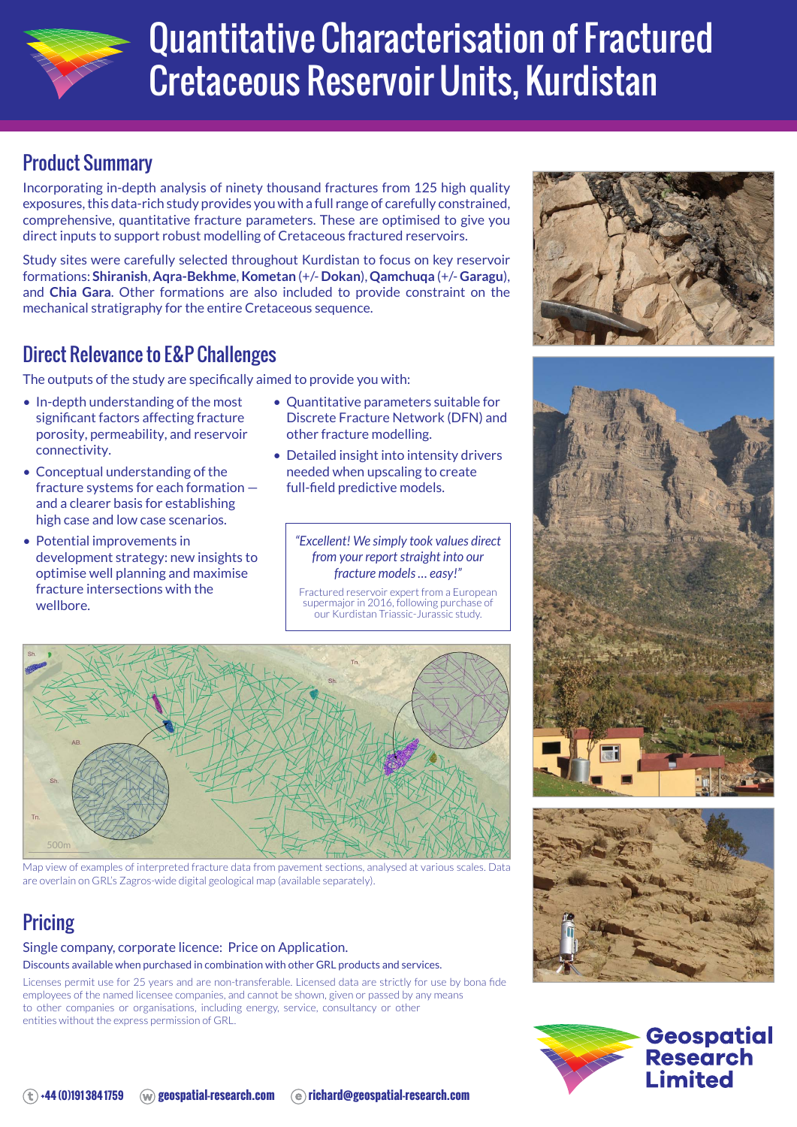

# Quantitative Characterisation of Fractured Cretaceous Reservoir Units, Kurdistan

# Product Summary

Incorporating in-depth analysis of ninety thousand fractures from 125 high quality exposures, this data-rich study provides you with a full range of carefully constrained, comprehensive, quantitative fracture parameters. These are optimised to give you direct inputs to support robust modelling of Cretaceous fractured reservoirs.

Study sites were carefully selected throughout Kurdistan to focus on key reservoir formations: **Shiranish**, **Aqra-Bekhme**, **Kometan** (+/- **Dokan**), **Qamchuqa** (+/- **Garagu**), and **Chia Gara**. Other formations are also included to provide constraint on the mechanical stratigraphy for the entire Cretaceous sequence.

# Direct Relevance to E&P Challenges

The outputs of the study are specifically aimed to provide you with:

- In-depth understanding of the most significant factors affecting fracture porosity, permeability, and reservoir connectivity.
- Conceptual understanding of the fracture systems for each formation and a clearer basis for establishing high case and low case scenarios.
- Potential improvements in development strategy: new insights to optimise well planning and maximise fracture intersections with the wellbore.
- Quantitative parameters suitable for Discrete Fracture Network (DFN) and other fracture modelling.
- Detailed insight into intensity drivers needed when upscaling to create full-field predictive models.

*"Excellent! We simply took values direct from your report straight into our fracture models … easy!"*

Fractured reservoir expert from a European supermajor in 2016, following purchase of our Kurdistan Triassic-Jurassic study.



Map view of examples of interpreted fracture data from pavement sections, analysed at various scales. Data are overlain on GRL's Zagros-wide digital geological map (available separately).

# **Pricing**

#### Single company, corporate licence: Price on Application.

Discounts available when purchased in combination with other GRL products and services.

Licenses permit use for 25 years and are non-transferable. Licensed data are strictly for use by bona fide employees of the named licensee companies, and cannot be shown, given or passed by any means to other companies or organisations, including energy, service, consultancy or other entities without the express permission of GRL.